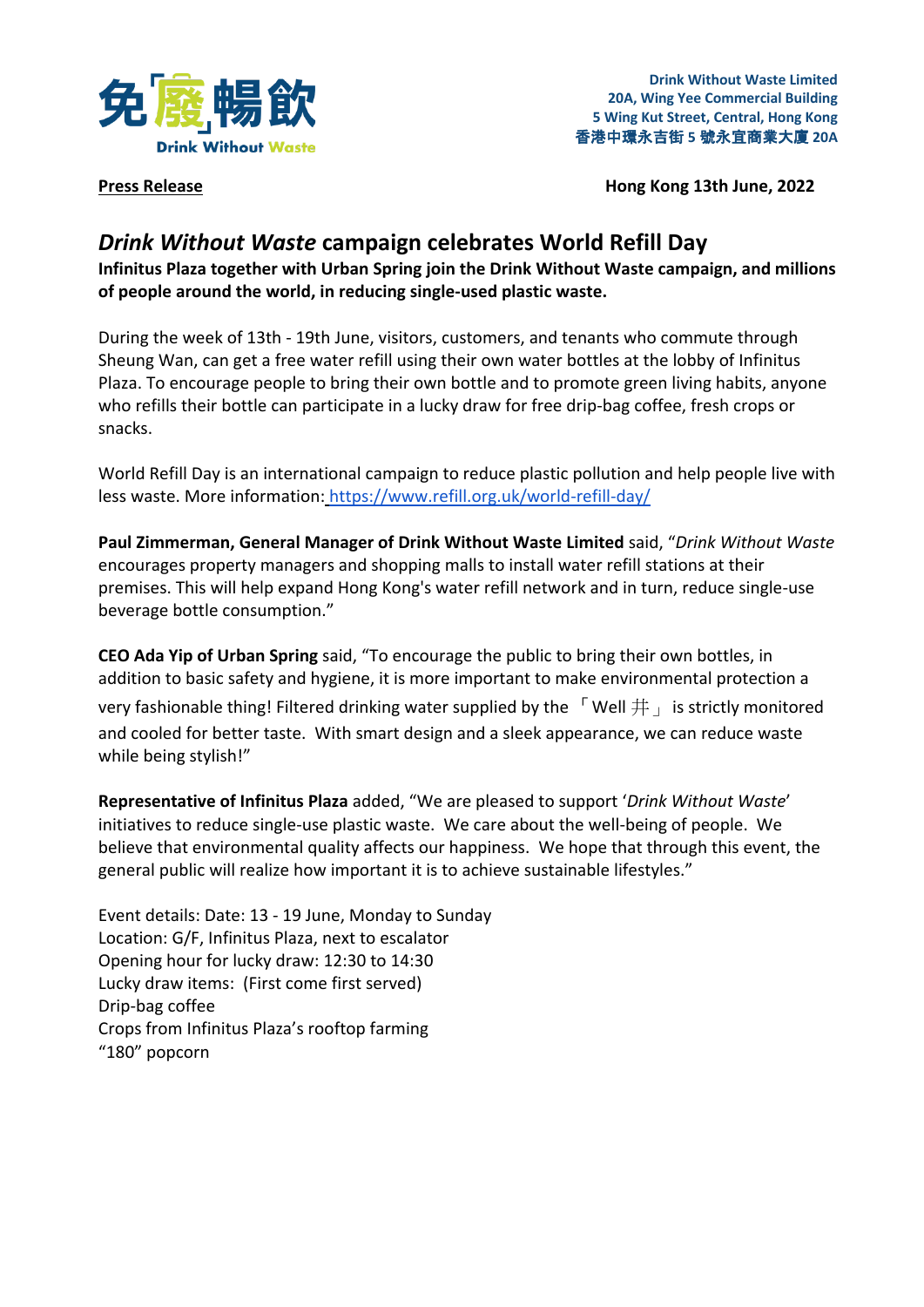

**Drink Without Waste Limited 20A, Wing Yee Commercial Building 5 Wing Kut Street, Central, Hong Kong** 香港中環永吉街 **5** 號永宜商業大廈 **20A**

**Press Release Hong Kong 13th June, 2022** 

## *Drink Without Waste* **campaign celebrates World Refill Day**

**Infinitus Plaza together with Urban Spring join the Drink Without Waste campaign, and millions of people around the world, in reducing single-used plastic waste.**

During the week of 13th - 19th June, visitors, customers, and tenants who commute through Sheung Wan, can get a free water refill using their own water bottles at the lobby of Infinitus Plaza. To encourage people to bring their own bottle and to promote green living habits, anyone who refills their bottle can participate in a lucky draw for free drip-bag coffee, fresh crops or snacks.

World Refill Day is an international campaign to reduce plastic pollution and help people live with less waste. More information: <https://www.refill.org.uk/world-refill-day/>

**Paul Zimmerman, General Manager of Drink Without Waste Limited** said, "*Drink Without Waste* encourages property managers and shopping malls to install water refill stations at their premises. This will help expand Hong Kong's water refill network and in turn, reduce single-use beverage bottle consumption."

**CEO Ada Yip of Urban Spring** said, "To encourage the public to bring their own bottles, in addition to basic safety and hygiene, it is more important to make environmental protection a

very fashionable thing! Filtered drinking water supplied by the  $\Gamma$  Well  $\#$  is strictly monitored and cooled for better taste. With smart design and a sleek appearance, we can reduce waste while being stylish!"

**Representative of Infinitus Plaza** added, "We are pleased to support '*Drink Without Waste*' initiatives to reduce single-use plastic waste. We care about the well-being of people. We believe that environmental quality affects our happiness. We hope that through this event, the general public will realize how important it is to achieve sustainable lifestyles."

Event details: Date: 13 - 19 June, Monday to Sunday Location: G/F, Infinitus Plaza, next to escalator Opening hour for lucky draw: 12:30 to 14:30 Lucky draw items: (First come first served) Drip-bag coffee Crops from Infinitus Plaza's rooftop farming "180" popcorn